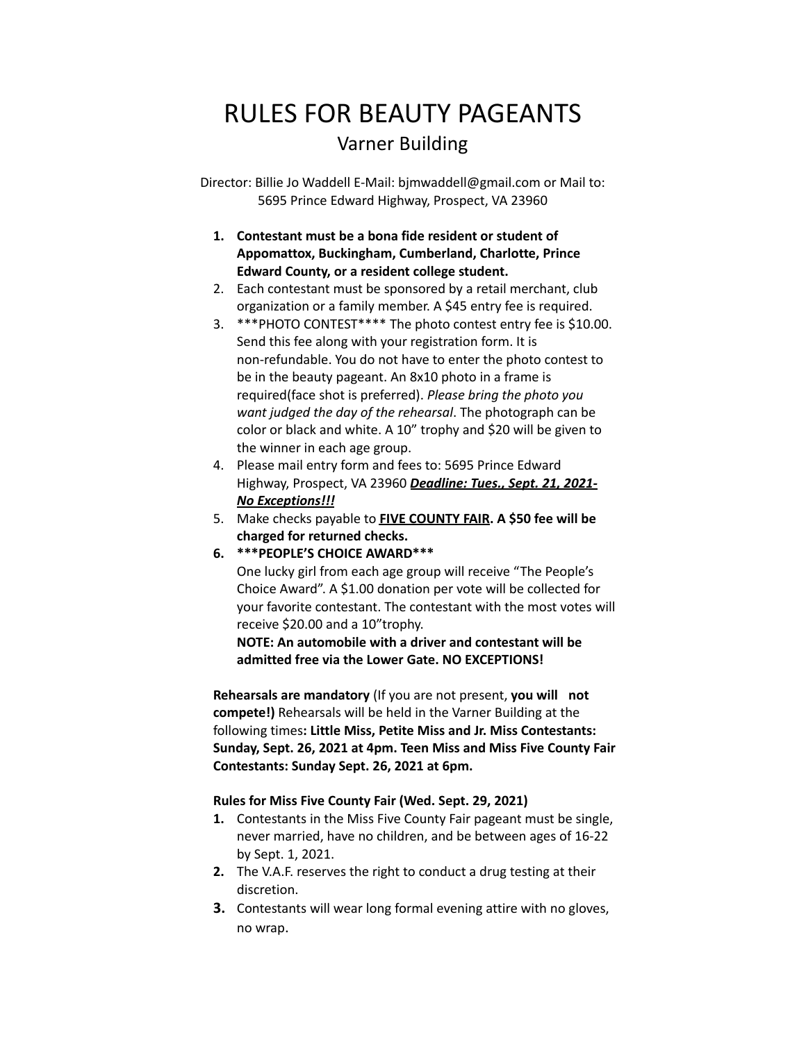# RULES FOR BEAUTY PAGEANTS Varner Building

Director: Billie Jo Waddell E-Mail: bjmwaddell@gmail.com or Mail to: 5695 Prince Edward Highway, Prospect, VA 23960

## **1. Contestant must be a bona fide resident or student of Appomattox, Buckingham, Cumberland, Charlotte, Prince Edward County, or a resident college student.**

- 2. Each contestant must be sponsored by a retail merchant, club organization or a family member. A \$45 entry fee is required.
- 3. \*\*\*PHOTO CONTEST\*\*\*\* The photo contest entry fee is \$10.00. Send this fee along with your registration form. It is non-refundable. You do not have to enter the photo contest to be in the beauty pageant. An 8x10 photo in a frame is required(face shot is preferred). *Please bring the photo you want judged the day of the rehearsal*. The photograph can be color or black and white. A 10" trophy and \$20 will be given to the winner in each age group.
- 4. Please mail entry form and fees to: 5695 Prince Edward Highway, Prospect, VA 23960 *Deadline: Tues., Sept. 21, 2021- No Exceptions!!!*
- 5. Make checks payable to **FIVE COUNTY FAIR. A \$50 fee will be charged for returned checks.**
- **6. \*\*\*PEOPLE'S CHOICE AWARD\*\*\***

One lucky girl from each age group will receive "The People's Choice Award". A \$1.00 donation per vote will be collected for your favorite contestant. The contestant with the most votes will receive \$20.00 and a 10"trophy.

**NOTE: An automobile with a driver and contestant will be admitted free via the Lower Gate. NO EXCEPTIONS!**

**Rehearsals are mandatory** (If you are not present, **you will not compete!)** Rehearsals will be held in the Varner Building at the following times**: Little Miss, Petite Miss and Jr. Miss Contestants: Sunday, Sept. 26, 2021 at 4pm. Teen Miss and Miss Five County Fair Contestants: Sunday Sept. 26, 2021 at 6pm.**

### **Rules for Miss Five County Fair (Wed. Sept. 29, 2021)**

- **1.** Contestants in the Miss Five County Fair pageant must be single, never married, have no children, and be between ages of 16-22 by Sept. 1, 2021.
- **2.** The V.A.F. reserves the right to conduct a drug testing at their discretion.
- **3.** Contestants will wear long formal evening attire with no gloves, no wrap.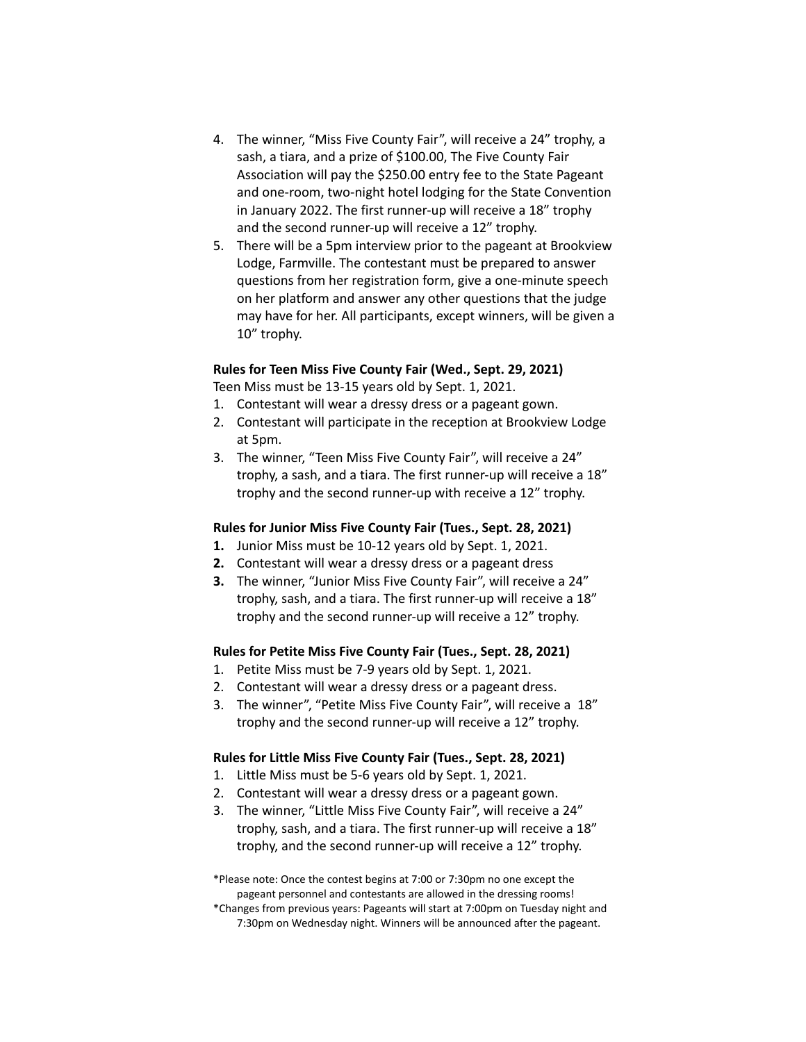- 4. The winner, "Miss Five County Fair", will receive a 24" trophy, a sash, a tiara, and a prize of \$100.00, The Five County Fair Association will pay the \$250.00 entry fee to the State Pageant and one-room, two-night hotel lodging for the State Convention in January 2022. The first runner-up will receive a 18" trophy and the second runner-up will receive a 12" trophy.
- 5. There will be a 5pm interview prior to the pageant at Brookview Lodge, Farmville. The contestant must be prepared to answer questions from her registration form, give a one-minute speech on her platform and answer any other questions that the judge may have for her. All participants, except winners, will be given a 10" trophy.

#### **Rules for Teen Miss Five County Fair (Wed., Sept. 29, 2021)**

Teen Miss must be 13-15 years old by Sept. 1, 2021.

- 1. Contestant will wear a dressy dress or a pageant gown.
- 2. Contestant will participate in the reception at Brookview Lodge at 5pm.
- 3. The winner, "Teen Miss Five County Fair", will receive a 24" trophy, a sash, and a tiara. The first runner-up will receive a 18" trophy and the second runner-up with receive a 12" trophy.

#### **Rules for Junior Miss Five County Fair (Tues., Sept. 28, 2021)**

- **1.** Junior Miss must be 10-12 years old by Sept. 1, 2021.
- **2.** Contestant will wear a dressy dress or a pageant dress
- **3.** The winner, "Junior Miss Five County Fair", will receive a 24" trophy, sash, and a tiara. The first runner-up will receive a 18" trophy and the second runner-up will receive a 12" trophy.

#### **Rules for Petite Miss Five County Fair (Tues., Sept. 28, 2021)**

- 1. Petite Miss must be 7-9 years old by Sept. 1, 2021.
- 2. Contestant will wear a dressy dress or a pageant dress.
- 3. The winner", "Petite Miss Five County Fair", will receive a 18" trophy and the second runner-up will receive a 12" trophy.

#### **Rules for Little Miss Five County Fair (Tues., Sept. 28, 2021)**

- 1. Little Miss must be 5-6 years old by Sept. 1, 2021.
- 2. Contestant will wear a dressy dress or a pageant gown.
- 3. The winner, "Little Miss Five County Fair", will receive a 24" trophy, sash, and a tiara. The first runner-up will receive a 18" trophy, and the second runner-up will receive a 12" trophy.

\*Please note: Once the contest begins at 7:00 or 7:30pm no one except the pageant personnel and contestants are allowed in the dressing rooms! \*Changes from previous years: Pageants will start at 7:00pm on Tuesday night and 7:30pm on Wednesday night. Winners will be announced after the pageant.